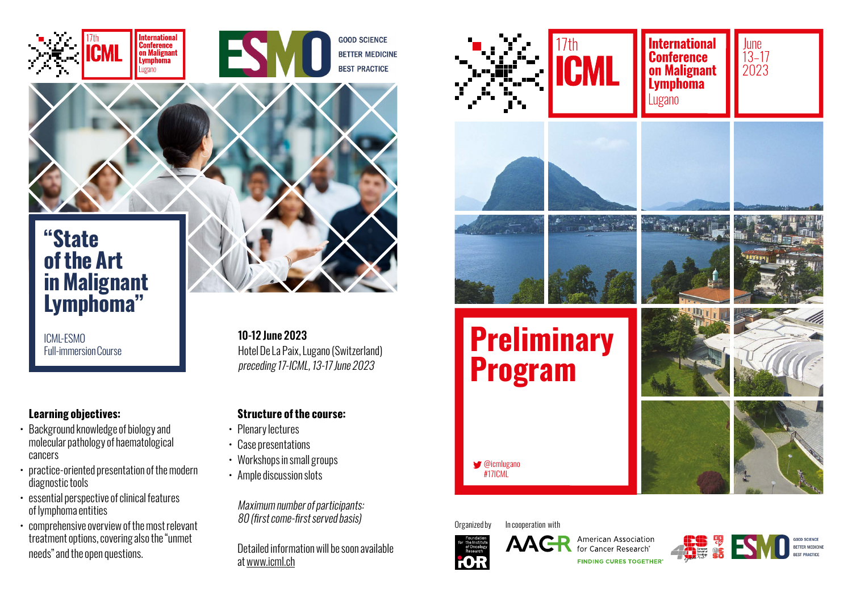

# **"State of the Art in Malignant Lymphoma"**

ICML-ESMO

# **Learning objectives:**

- Background knowledge of biology and molecular pathology of haematological cancers
- practice-oriented presentation of the modern diagnostic tools
- essential perspective of clinical features of lymphoma entities
- comprehensive overview of the most relevant treatment options, covering also the "unmet needs" and the open questions.

10-12 June 2023 Hotel De La Paix, Lugano (Switzerland) preceding 17-ICML, 13-17 June 2023

# **Structure of the course:**

- Plenary lectures
- Case presentations
- Workshops in small groups
- Ample discussion slots

Maximum number of participants: 80 (first come-first served basis)

Detailed information will be soon available at www.icml.ch



Organized by In cooperation with



American Association for Cancer Research **FINDING CURES TOGETHER**